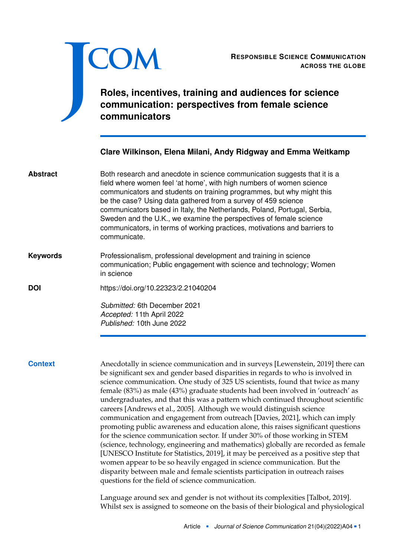

RESPONSIBLE SCIENCE COMMUNICATION<br>ACROSS THE GLOBE **ACROSS THE GLOBE**

# **Roles, incentives, training and audiences for science communication: perspectives from female science communicators**

### **Clare Wilkinson, Elena Milani, Andy Ridgway and Emma Weitkamp**

Both research and anecdote in science communication suggests that it is a field where women feel 'at home', with high numbers of women science communicators and students on training programmes, but why might this be the case? Using data gathered from a survey of 459 science communicators based in Italy, the Netherlands, Poland, Portugal, Serbia, Sweden and the U.K., we examine the perspectives of female science communicators, in terms of working practices, motivations and barriers to communicate. **Abstract**

### Professionalism, professional development and training in science communication; Public engagement with science and technology; Women in science **Keywords**

**DOI** <https://doi.org/10.22323/2.21040204>

*Submitted:* 6th December 2021 *Accepted:* 11th April 2022 *Published:* 10th June 2022

**Context** Anecdotally in science communication and in surveys [Lewenstein, [2019\]](#page-17-0) there can be significant sex and gender based disparities in regards to who is involved in science communication. One study of 325 US scientists, found that twice as many female (83%) as male (43%) graduate students had been involved in 'outreach' as undergraduates, and that this was a pattern which continued throughout scientific careers [Andrews et al., [2005\]](#page-15-0). Although we would distinguish science communication and engagement from outreach [Davies, [2021\]](#page-16-0), which can imply promoting public awareness and education alone, this raises significant questions for the science communication sector. If under 30% of those working in STEM (science, technology, engineering and mathematics) globally are recorded as female [UNESCO Institute for Statistics, [2019\]](#page-19-0), it may be perceived as a positive step that women appear to be so heavily engaged in science communication. But the disparity between male and female scientists participation in outreach raises questions for the field of science communication.

> Language around sex and gender is not without its complexities [Talbot, [2019\]](#page-19-1). Whilst sex is assigned to someone on the basis of their biological and physiological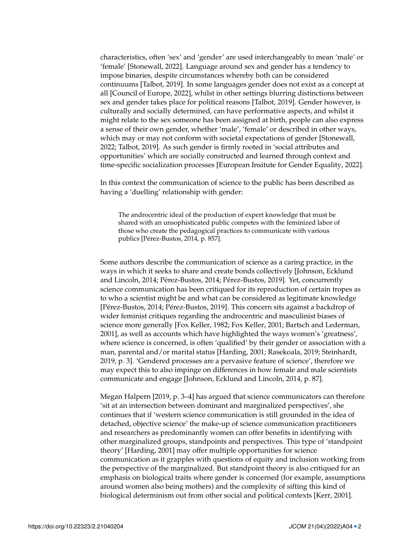characteristics, often 'sex' and 'gender' are used interchangeably to mean 'male' or 'female' [Stonewall, [2022\]](#page-19-2). Language around sex and gender has a tendency to impose binaries, despite circumstances whereby both can be considered continuums [Talbot, [2019\]](#page-19-1). In some languages gender does not exist as a concept at all [Council of Europe, [2022\]](#page-16-1), whilst in other settings blurring distinctions between sex and gender takes place for political reasons [Talbot, [2019\]](#page-19-1). Gender however, is culturally and socially determined, can have performative aspects, and whilst it might relate to the sex someone has been assigned at birth, people can also express a sense of their own gender, whether 'male', 'female' or described in other ways, which may or may not conform with societal expectations of gender [Stonewall, [2022;](#page-19-2) Talbot, [2019\]](#page-19-1). As such gender is firmly rooted in 'social attributes and opportunities' which are socially constructed and learned through context and time-specific socialization processes [European Insitute for Gender Equality, [2022\]](#page-16-2).

In this context the communication of science to the public has been described as having a 'duelling' relationship with gender:

The androcentric ideal of the production of expert knowledge that must be shared with an unsophisticated public competes with the feminized labor of those who create the pedagogical practices to communicate with various publics [Pérez-Bustos, [2014,](#page-18-0) p. 857].

Some authors describe the communication of science as a caring practice, in the ways in which it seeks to share and create bonds collectively [Johnson, Ecklund and Lincoln, [2014;](#page-17-1) Pérez-Bustos, [2014;](#page-18-0) Pérez-Bustos, [2019\]](#page-18-1). Yet, concurrently science communication has been critiqued for its reproduction of certain tropes as to who a scientist might be and what can be considered as legitimate knowledge [Pérez-Bustos, [2014;](#page-18-0) Pérez-Bustos, [2019\]](#page-18-1). This concern sits against a backdrop of wider feminist critiques regarding the androcentric and masculinist biases of science more generally [Fox Keller, [1982;](#page-17-2) Fox Keller, [2001;](#page-17-3) Bartsch and Lederman, [2001\]](#page-15-1), as well as accounts which have highlighted the ways women's 'greatness', where science is concerned, is often 'qualified' by their gender or association with a man, parental and/or marital status [Harding, [2001;](#page-17-4) Rasekoala, [2019;](#page-18-2) Steinhardt, [2019,](#page-18-3) p. 3]. 'Gendered processes are a pervasive feature of science', therefore we may expect this to also impinge on differences in how female and male scientists communicate and engage [Johnson, Ecklund and Lincoln, [2014,](#page-17-1) p. 87].

Megan Halpern [\[2019,](#page-17-5) p. 3–4] has argued that science communicators can therefore 'sit at an intersection between dominant and marginalized perspectives', she continues that if 'western science communication is still grounded in the idea of detached, objective science' the make-up of science communication practitioners and researchers as predominantly women can offer benefits in identifying with other marginalized groups, standpoints and perspectives. This type of 'standpoint theory' [Harding, [2001\]](#page-17-4) may offer multiple opportunities for science communication as it grapples with questions of equity and inclusion working from the perspective of the marginalized. But standpoint theory is also critiqued for an emphasis on biological traits where gender is concerned (for example, assumptions around women also being mothers) and the complexity of sifting this kind of biological determinism out from other social and political contexts [Kerr, [2001\]](#page-17-6).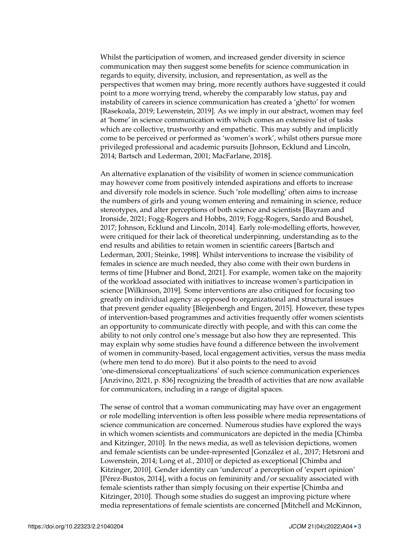Whilst the participation of women, and increased gender diversity in science communication may then suggest some benefits for science communication in regards to equity, diversity, inclusion, and representation, as well as the perspectives that women may bring, more recently authors have suggested it could point to a more worrying trend, whereby the comparably low status, pay and instability of careers in science communication has created a 'ghetto' for women [Rasekoala, [2019;](#page-18-2) Lewenstein, [2019\]](#page-17-0). As we imply in our abstract, women may feel at 'home' in science communication with which comes an extensive list of tasks which are collective, trustworthy and empathetic. This may subtly and implicitly come to be perceived or performed as 'women's work', whilst others pursue more privileged professional and academic pursuits [Johnson, Ecklund and Lincoln, [2014;](#page-17-1) Bartsch and Lederman, [2001;](#page-15-1) MacFarlane, [2018\]](#page-18-4).

An alternative explanation of the visibility of women in science communication may however come from positively intended aspirations and efforts to increase and diversify role models in science. Such 'role modelling' often aims to increase the numbers of girls and young women entering and remaining in science, reduce stereotypes, and alter perceptions of both science and scientists [Bayram and Ironside, [2021;](#page-16-3) Fogg-Rogers and Hobbs, [2019;](#page-16-4) Fogg-Rogers, Sardo and Boushel, [2017;](#page-16-5) Johnson, Ecklund and Lincoln, [2014\]](#page-17-1). Early role-modelling efforts, however, were critiqued for their lack of theoretical underpinning, understanding as to the end results and abilities to retain women in scientific careers [Bartsch and Lederman, [2001;](#page-15-1) Steinke, [1998\]](#page-19-3). Whilst interventions to increase the visibility of females in science are much needed, they also come with their own burdens in terms of time [Hubner and Bond, [2021\]](#page-17-7). For example, women take on the majority of the workload associated with initiatives to increase women's participation in science [Wilkinson, [2019\]](#page-19-4). Some interventions are also critiqued for focusing too greatly on individual agency as opposed to organizational and structural issues that prevent gender equality [Bleijenbergh and Engen, [2015\]](#page-16-6). However, these types of intervention-based programmes and activities frequently offer women scientists an opportunity to communicate directly with people, and with this can come the ability to not only control one's message but also how they are represented. This may explain why some studies have found a difference between the involvement of women in community-based, local engagement activities, versus the mass media (where men tend to do more). But it also points to the need to avoid 'one-dimensional conceptualizations' of such science communication experiences [Anzivino, [2021,](#page-15-2) p. 836] recognizing the breadth of activities that are now available for communicators, including in a range of digital spaces.

The sense of control that a woman communicating may have over an engagement or role modelling intervention is often less possible where media representations of science communication are concerned. Numerous studies have explored the ways in which women scientists and communicators are depicted in the media [Chimba and Kitzinger, [2010\]](#page-16-7). In the news media, as well as television depictions, women and female scientists can be under-represented [González et al., [2017;](#page-17-8) Hetsroni and Lowenstein, [2014;](#page-17-9) Long et al., [2010\]](#page-17-10) or depicted as exceptional [Chimba and Kitzinger, [2010\]](#page-16-7). Gender identity can 'undercut' a perception of 'expert opinion' [Pérez-Bustos, [2014\]](#page-18-0), with a focus on femininity and/or sexuality associated with female scientists rather than simply focusing on their expertise [Chimba and Kitzinger, [2010\]](#page-16-7). Though some studies do suggest an improving picture where media representations of female scientists are concerned [Mitchell and McKinnon,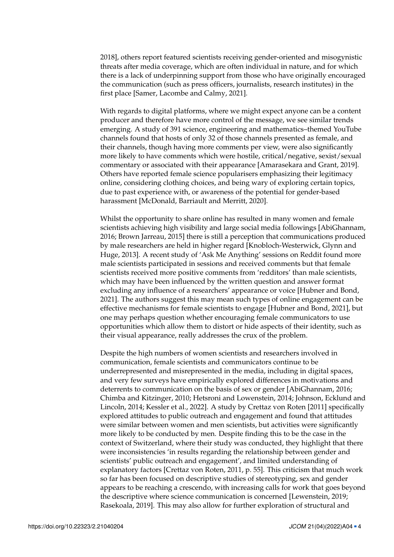[2018\]](#page-18-5), others report featured scientists receiving gender-oriented and misogynistic threats after media coverage, which are often individual in nature, and for which there is a lack of underpinning support from those who have originally encouraged the communication (such as press officers, journalists, research institutes) in the first place [Samer, Lacombe and Calmy, [2021\]](#page-18-6).

With regards to digital platforms, where we might expect anyone can be a content producer and therefore have more control of the message, we see similar trends emerging. A study of 391 science, engineering and mathematics–themed YouTube channels found that hosts of only 32 of those channels presented as female, and their channels, though having more comments per view, were also significantly more likely to have comments which were hostile, critical/negative, sexist/sexual commentary or associated with their appearance [Amarasekara and Grant, [2019\]](#page-15-3). Others have reported female science popularisers emphasizing their legitimacy online, considering clothing choices, and being wary of exploring certain topics, due to past experience with, or awareness of the potential for gender-based harassment [McDonald, Barriault and Merritt, [2020\]](#page-18-7).

Whilst the opportunity to share online has resulted in many women and female scientists achieving high visibility and large social media followings [AbiGhannam, [2016;](#page-15-4) Brown Jarreau, [2015\]](#page-16-8) there is still a perception that communications produced by male researchers are held in higher regard [Knobloch-Westerwick, Glynn and Huge, [2013\]](#page-17-11). A recent study of 'Ask Me Anything' sessions on Reddit found more male scientists participated in sessions and received comments but that female scientists received more positive comments from 'redditors' than male scientists, which may have been influenced by the written question and answer format excluding any influence of a researchers' appearance or voice [Hubner and Bond, [2021\]](#page-17-7). The authors suggest this may mean such types of online engagement can be effective mechanisms for female scientists to engage [Hubner and Bond, [2021\]](#page-17-7), but one may perhaps question whether encouraging female communicators to use opportunities which allow them to distort or hide aspects of their identity, such as their visual appearance, really addresses the crux of the problem.

Despite the high numbers of women scientists and researchers involved in communication, female scientists and communicators continue to be underrepresented and misrepresented in the media, including in digital spaces, and very few surveys have empirically explored differences in motivations and deterrents to communication on the basis of sex or gender [AbiGhannam, [2016;](#page-15-4) Chimba and Kitzinger, [2010;](#page-16-7) Hetsroni and Lowenstein, [2014;](#page-17-9) Johnson, Ecklund and Lincoln, [2014;](#page-17-1) Kessler et al., [2022\]](#page-17-12). A study by Crettaz von Roten [\[2011\]](#page-16-9) specifically explored attitudes to public outreach and engagement and found that attitudes were similar between women and men scientists, but activities were significantly more likely to be conducted by men. Despite finding this to be the case in the context of Switzerland, where their study was conducted, they highlight that there were inconsistencies 'in results regarding the relationship between gender and scientists' public outreach and engagement', and limited understanding of explanatory factors [Crettaz von Roten, [2011,](#page-16-9) p. 55]. This criticism that much work so far has been focused on descriptive studies of stereotyping, sex and gender appears to be reaching a crescendo, with increasing calls for work that goes beyond the descriptive where science communication is concerned [Lewenstein, [2019;](#page-17-0) Rasekoala, [2019\]](#page-18-2). This may also allow for further exploration of structural and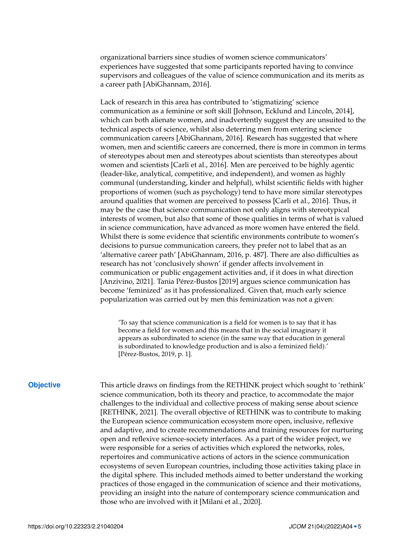organizational barriers since studies of women science communicators' experiences have suggested that some participants reported having to convince supervisors and colleagues of the value of science communication and its merits as a career path [AbiGhannam, [2016\]](#page-15-4).

Lack of research in this area has contributed to 'stigmatizing' science communication as a feminine or soft skill [Johnson, Ecklund and Lincoln, [2014\]](#page-17-1), which can both alienate women, and inadvertently suggest they are unsuited to the technical aspects of science, whilst also deterring men from entering science communication careers [AbiGhannam, [2016\]](#page-15-4). Research has suggested that where women, men and scientific careers are concerned, there is more in common in terms of stereotypes about men and stereotypes about scientists than stereotypes about women and scientists [Carli et al., [2016\]](#page-16-10). Men are perceived to be highly agentic (leader-like, analytical, competitive, and independent), and women as highly communal (understanding, kinder and helpful), whilst scientific fields with higher proportions of women (such as psychology) tend to have more similar stereotypes around qualities that women are perceived to possess [Carli et al., [2016\]](#page-16-10). Thus, it may be the case that science communication not only aligns with stereotypical interests of women, but also that some of those qualities in terms of what is valued in science communication, have advanced as more women have entered the field. Whilst there is some evidence that scientific environments contribute to women's decisions to pursue communication careers, they prefer not to label that as an 'alternative career path' [AbiGhannam, [2016,](#page-15-4) p. 487]. There are also difficulties as research has not 'conclusively shown' if gender affects involvement in communication or public engagement activities and, if it does in what direction [Anzivino, [2021\]](#page-15-2). Tania Pérez-Bustos [\[2019\]](#page-18-1) argues science communication has become 'feminized' as it has professionalized. Given that, much early science popularization was carried out by men this feminization was not a given:

'To say that science communication is a field for women is to say that it has become a field for women and this means that in the social imaginary it appears as subordinated to science (in the same way that education in general is subordinated to knowledge production and is also a feminized field).' [Pérez-Bustos, [2019,](#page-18-1) p. 1].

**Objective** This article draws on findings from the RETHINK project which sought to 'rethink' science communication, both its theory and practice, to accommodate the major challenges to the individual and collective process of making sense about science [RETHINK, [2021\]](#page-18-8). The overall objective of RETHINK was to contribute to making the European science communication ecosystem more open, inclusive, reflexive and adaptive, and to create recommendations and training resources for nurturing open and reflexive science-society interfaces. As a part of the wider project, we were responsible for a series of activities which explored the networks, roles, repertoires and communicative actions of actors in the science communication ecosystems of seven European countries, including those activities taking place in the digital sphere. This included methods aimed to better understand the working practices of those engaged in the communication of science and their motivations, providing an insight into the nature of contemporary science communication and those who are involved with it [Milani et al., [2020\]](#page-18-9).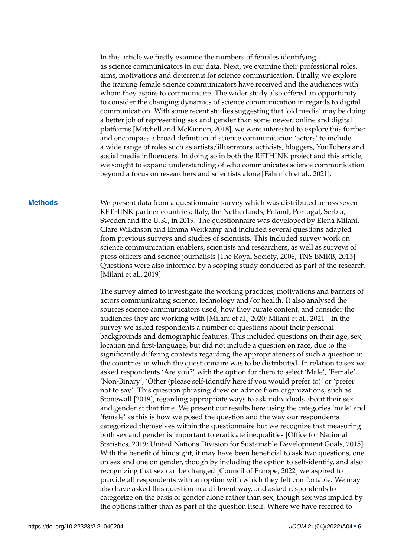In this article we firstly examine the numbers of females identifying as science communicators in our data. Next, we examine their professional roles, aims, motivations and deterrents for science communication. Finally, we explore the training female science communicators have received and the audiences with whom they aspire to communicate. The wider study also offered an opportunity to consider the changing dynamics of science communication in regards to digital communication. With some recent studies suggesting that 'old media' may be doing a better job of representing sex and gender than some newer, online and digital platforms [Mitchell and McKinnon, [2018\]](#page-18-5), we were interested to explore this further and encompass a broad definition of science communication 'actors' to include a wide range of roles such as artists/illustrators, activists, bloggers, YouTubers and social media influencers. In doing so in both the RETHINK project and this article, we sought to expand understanding of who communicates science communication beyond a focus on researchers and scientists alone [Fähnrich et al., [2021\]](#page-16-11).

**Methods** We present data from a questionnaire survey which was distributed across seven RETHINK partner countries; Italy, the Netherlands, Poland, Portugal, Serbia, Sweden and the U.K., in 2019. The questionnaire was developed by Elena Milani, Clare Wilkinson and Emma Weitkamp and included several questions adapted from previous surveys and studies of scientists. This included survey work on science communication enablers, scientists and researchers, as well as surveys of press officers and science journalists [The Royal Society, [2006;](#page-19-5) TNS BMRB, [2015\]](#page-19-6). Questions were also informed by a scoping study conducted as part of the research [Milani et al., [2019\]](#page-18-10).

> The survey aimed to investigate the working practices, motivations and barriers of actors communicating science, technology and/or health. It also analysed the sources science communicators used, how they curate content, and consider the audiences they are working with [Milani et al., [2020;](#page-18-9) Milani et al., [2021\]](#page-18-11). In the survey we asked respondents a number of questions about their personal backgrounds and demographic features. This included questions on their age, sex, location and first-language, but did not include a question on race, due to the significantly differing contexts regarding the appropriateness of such a question in the countries in which the questionnaire was to be distributed. In relation to sex we asked respondents 'Are you?' with the option for them to select 'Male', 'Female', 'Non-Binary', 'Other (please self-identify here if you would prefer to)' or 'prefer not to say'. This question phrasing drew on advice from organizations, such as Stonewall [\[2019\]](#page-19-7), regarding appropriate ways to ask individuals about their sex and gender at that time. We present our results here using the categories 'male' and 'female' as this is how we posed the question and the way our respondents categorized themselves within the questionnaire but we recognize that measuring both sex and gender is important to eradicate inequalities [Office for National Statistics, [2019;](#page-18-12) United Nations Division for Sustainable Development Goals, [2015\]](#page-19-8). With the benefit of hindsight, it may have been beneficial to ask two questions, one on sex and one on gender, though by including the option to self-identify, and also recognizing that sex can be changed [Council of Europe, [2022\]](#page-16-1) we aspired to provide all respondents with an option with which they felt comfortable. We may also have asked this question in a different way, and asked respondents to categorize on the basis of gender alone rather than sex, though sex was implied by the options rather than as part of the question itself. Where we have referred to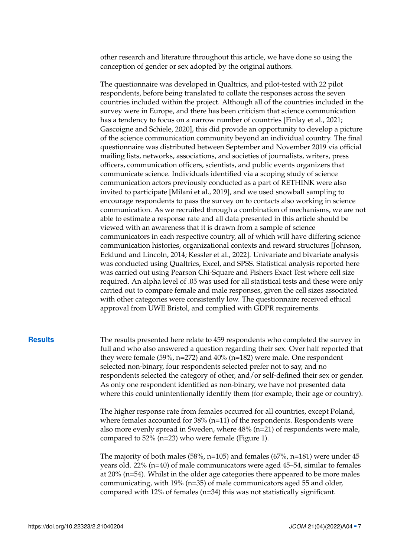other research and literature throughout this article, we have done so using the conception of gender or sex adopted by the original authors.

The questionnaire was developed in Qualtrics, and pilot-tested with 22 pilot respondents, before being translated to collate the responses across the seven countries included within the project. Although all of the countries included in the survey were in Europe, and there has been criticism that science communication has a tendency to focus on a narrow number of countries [Finlay et al., [2021;](#page-16-12) Gascoigne and Schiele, [2020\]](#page-17-13), this did provide an opportunity to develop a picture of the science communication community beyond an individual country. The final questionnaire was distributed between September and November 2019 via official mailing lists, networks, associations, and societies of journalists, writers, press officers, communication officers, scientists, and public events organizers that communicate science. Individuals identified via a scoping study of science communication actors previously conducted as a part of RETHINK were also invited to participate [Milani et al., [2019\]](#page-18-10), and we used snowball sampling to encourage respondents to pass the survey on to contacts also working in science communication. As we recruited through a combination of mechanisms, we are not able to estimate a response rate and all data presented in this article should be viewed with an awareness that it is drawn from a sample of science communicators in each respective country, all of which will have differing science communication histories, organizational contexts and reward structures [Johnson, Ecklund and Lincoln, [2014;](#page-17-1) Kessler et al., [2022\]](#page-17-12). Univariate and bivariate analysis was conducted using Qualtrics, Excel, and SPSS. Statistical analysis reported here was carried out using Pearson Chi-Square and Fishers Exact Test where cell size required. An alpha level of .05 was used for all statistical tests and these were only carried out to compare female and male responses, given the cell sizes associated with other categories were consistently low. The questionnaire received ethical approval from UWE Bristol, and complied with GDPR requirements.

**Results** The results presented here relate to 459 respondents who completed the survey in full and who also answered a question regarding their sex. Over half reported that they were female (59%, n=272) and 40% (n=182) were male. One respondent selected non-binary, four respondents selected prefer not to say, and no respondents selected the category of other, and/or self-defined their sex or gender. As only one respondent identified as non-binary, we have not presented data where this could unintentionally identify them (for example, their age or country).

> The higher response rate from females occurred for all countries, except Poland, where females accounted for 38% (n=11) of the respondents. Respondents were also more evenly spread in Sweden, where 48% (n=21) of respondents were male, compared to 52% (n=23) who were female (Figure [1\)](#page-7-0).

> The majority of both males (58%,  $n=105$ ) and females (67%,  $n=181$ ) were under 45 years old. 22% (n=40) of male communicators were aged 45–54, similar to females at 20% (n=54). Whilst in the older age categories there appeared to be more males communicating, with 19% (n=35) of male communicators aged 55 and older, compared with 12% of females (n=34) this was not statistically significant.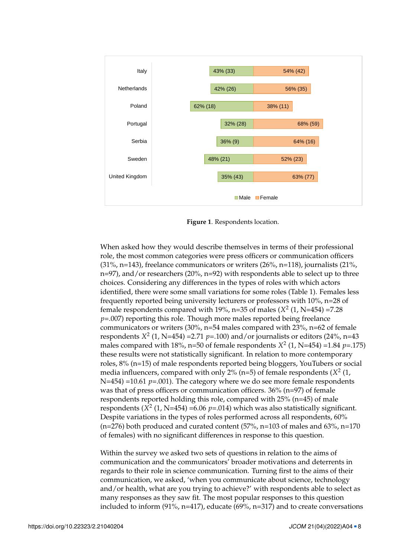

<span id="page-7-0"></span>Figure 1. Respondents location.

When asked how they would describe themselves in terms of their professional role, the most common categories were press officers or communication officers n=97), and/or researchers (20%, n=92) with respondents able to select up to three choices. Considering any differences in the types of roles with which actors (31%, 31%, 31%) and 21% and 31% considering any differences in the types of roles with which actors  $(31\%$ , n=143), freelance communicators or writers  $(26\%$ , n=118), journalists  $(21\%$ , identified, there were some small variations for some roles (Table [1\)](#page-8-0). Females less frequently reported being university lecturers or professors with 10%, n=28 of female respondents compared with 19%, n=35 of males  $(X^2 (1, N=454) = 7.28$ *p*=.007) reporting this role. Though more males reported being freelance communicators or writers (30%, n=54 males compared with 23%, n=62 of female respondents  $X^2$  (1, N=454) =2.71 *p*=.100) and/or journalists or editors (24%, n=43 males compared with 18%, n=50 of female respondents  $X^2$  (1, N=454) =1.84 *p*=.175) these results were not statistically significant. In relation to more contemporary roles, 8% (n=15) of male respondents reported being bloggers, YouTubers or social media influencers, compared with only 2% (n=5) of female respondents  $(X^2 \t(1),$ N=454) =10.61 *p*=.001). The category where we do see more female respondents was that of press officers or communication officers. 36% (n=97) of female respondents reported holding this role, compared with 25% (n=45) of male respondents ( $X^2$  (1, N=454) =6.06  $p$ =.014) which was also statistically significant. Despite variations in the types of roles performed across all respondents, 60%  $(n=276)$  both produced and curated content  $(57\% , n=103)$  of males and  $63\%$ , n=170 of females) with no significant differences in response to this question.

Within the survey we asked two sets of questions in relation to the aims of communication and the communicators' broader motivations and deterrents in regards to their role in science communication. Turning first to the aims of their communication, we asked, 'when you communicate about science, technology and/or health, what are you trying to achieve?' with respondents able to select as many responses as they saw fit. The most popular responses to this question included to inform  $(91\%$ , n=417), educate  $(69\%$ , n=317) and to create conversations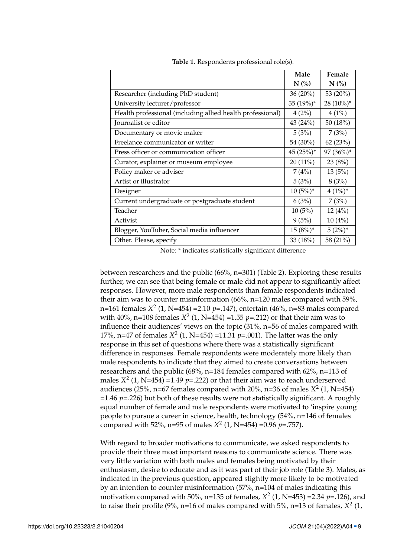|                                                            | Male        | Female    |
|------------------------------------------------------------|-------------|-----------|
|                                                            | $N$ (%)     | $N$ (%)   |
| Researcher (including PhD student)                         | 36 (20%)    | 53 (20%)  |
| University lecturer/professor                              | 35 (19%)*   | 28 (10%)* |
| Health professional (including allied health professional) | 4(2%)       | 4(1%)     |
| Journalist or editor                                       | 43 (24%)    | 50 (18%)  |
| Documentary or movie maker                                 | 5(3%)       | 7(3%)     |
| Freelance communicator or writer                           | 54 (30%)    | 62(23%)   |
| Press officer or communication officer                     | $45(25%)$ * | 97 (36%)* |
| Curator, explainer or museum employee                      | $20(11\%)$  | 23(8%)    |
| Policy maker or adviser                                    | 7(4%)       | 13(5%)    |
| Artist or illustrator                                      | 5(3%)       | 8(3%)     |
| Designer                                                   | $10(5%)*$   | $4(1\%)*$ |
| Current undergraduate or postgraduate student              | 6(3%)       | 7(3%)     |
| Teacher                                                    | 10(5%)      | 12(4%)    |
| Activist                                                   | 9(5%)       | 10(4%)    |
| Blogger, YouTuber, Social media influencer                 | $15(8%)^*$  | $5(2%)^*$ |
| Other. Please, specify                                     | 33 (18%)    | 58 (21%)  |

<span id="page-8-0"></span>**Table 1**. Respondents professional role(s).

Note: \* indicates statistically significant difference

between researchers and the public (66%, n=301) (Table [2\)](#page-9-0). Exploring these results further, we can see that being female or male did not appear to significantly affect responses. However, more male respondents than female respondents indicated their aim was to counter misinformation (66%, n=120 males compared with 59%, n=161 females *X* 2 (1, N=454) =2.10 *p*=.147), entertain (46%, n=83 males compared with 40%, n=108 females  $X^2$  (1, N=454) =1.55  $p=212$ ) or that their aim was to influence their audiences' views on the topic (31%, n=56 of males compared with 17%, n=47 of females  $X^2$  (1, N=454) =11.31  $p$ =.001). The latter was the only response in this set of questions where there was a statistically significant difference in responses. Female respondents were moderately more likely than male respondents to indicate that they aimed to create conversations between researchers and the public (68%, n=184 females compared with 62%, n=113 of males  $X^2$  (1, N=454) =1.49 *p*=.222) or that their aim was to reach underserved audiences (25%, n=67 females compared with 20%, n=36 of males  $X^2$  (1, N=454) =1.46 *p*=.226) but both of these results were not statistically significant. A roughly equal number of female and male respondents were motivated to 'inspire young people to pursue a career in science, health, technology (54%, n=146 of females compared with 52%, n=95 of males *X* 2 (1, N=454) =0.96 *p*=.757).

With regard to broader motivations to communicate, we asked respondents to provide their three most important reasons to communicate science. There was very little variation with both males and females being motivated by their enthusiasm, desire to educate and as it was part of their job role (Table [3\)](#page-10-0). Males, as indicated in the previous question, appeared slightly more likely to be motivated by an intention to counter misinformation (57%, n=104 of males indicating this motivation compared with 50%, n=135 of females,  $X^2$  (1, N=453) =2.34 *p*=.126), and to raise their profile (9%, n=16 of males compared with  $5\%$ , n=13 of females,  $X^2$  (1,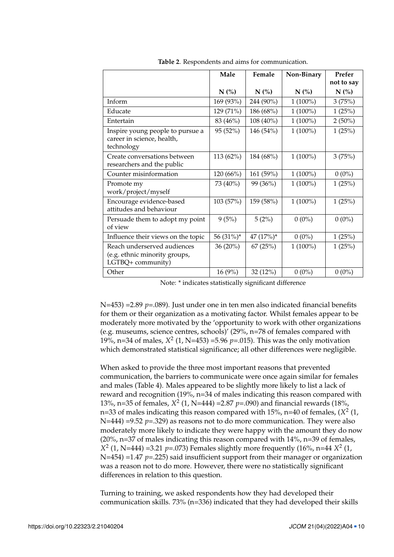|                                                                                   | Male      | Female       | Non-Binary | Prefer     |
|-----------------------------------------------------------------------------------|-----------|--------------|------------|------------|
|                                                                                   |           |              |            | not to say |
|                                                                                   | N(%       | N(%          | $N$ (%)    | N(%        |
| Inform                                                                            | 169 (93%) | 244 (90%)    | $1(100\%)$ | 3(75%)     |
| Educate                                                                           | 129 (71%) | 186 (68%)    | $1(100\%)$ | 1(25%)     |
| Entertain                                                                         | 83 (46%)  | 108 (40%)    | $1(100\%)$ | $2(50\%)$  |
| Inspire young people to pursue a<br>career in science, health,<br>technology      | 95 (52%)  | 146 (54%)    | $1(100\%)$ | 1(25%)     |
| Create conversations between<br>researchers and the public                        | 113 (62%) | 184 (68%)    | $1(100\%)$ | 3(75%)     |
| Counter misinformation                                                            | 120(66%)  | 161 (59%)    | $1(100\%)$ | $0(0\%)$   |
| Promote my<br>work/project/myself                                                 | 73 (40%)  | 99 (36%)     | $1(100\%)$ | 1(25%)     |
| Encourage evidence-based<br>attitudes and behaviour                               | 103 (57%) | 159 (58%)    | $1(100\%)$ | 1(25%)     |
| Persuade them to adopt my point<br>of view                                        | 9(5%)     | 5(2%)        | $0(0\%)$   | $0(0\%)$   |
| Influence their views on the topic                                                | 56 (31%)* | 47 $(17%)^*$ | $0(0\%)$   | 1(25%)     |
| Reach underserved audiences<br>(e.g. ethnic minority groups,<br>LGTBQ+ community) | 36 (20%)  | 67(25%)      | $1(100\%)$ | 1(25%)     |
| Other                                                                             | 16(9%)    | 32 (12%)     | $0(0\%)$   | $0(0\%)$   |

<span id="page-9-0"></span>**Table 2**. Respondents and aims for communication.

Note: \* indicates statistically significant difference

N=453) =2.89 *p*=.089). Just under one in ten men also indicated financial benefits for them or their organization as a motivating factor. Whilst females appear to be moderately more motivated by the 'opportunity to work with other organizations (e.g. museums, science centres, schools)' (29%, n=78 of females compared with 19%, n=34 of males, *X* 2 (1, N=453) =5.96 *p*=.015). This was the only motivation which demonstrated statistical significance; all other differences were negligible.

When asked to provide the three most important reasons that prevented communication, the barriers to communicate were once again similar for females and males (Table [4\)](#page-11-0). Males appeared to be slightly more likely to list a lack of reward and recognition (19%, n=34 of males indicating this reason compared with 13%, n=35 of females, *X* 2 (1, N=444) =2.87 *p*=.090) and financial rewards (18%, n=33 of males indicating this reason compared with 15%, n=40 of females, (X<sup>2</sup> (1, N=444) =9.52 *p*=.329) as reasons not to do more communication. They were also moderately more likely to indicate they were happy with the amount they do now  $(20\%, n=37)$  of males indicating this reason compared with 14%, n=39 of females, *X*<sup>2</sup> (1, N=444) =3.21 *p*=.073) Females slightly more frequently (16%, n=44 *X*<sup>2</sup> (1, N=454) =1.47 *p*=.225) said insufficient support from their manager or organization was a reason not to do more. However, there were no statistically significant differences in relation to this question.

Turning to training, we asked respondents how they had developed their communication skills. 73% (n=336) indicated that they had developed their skills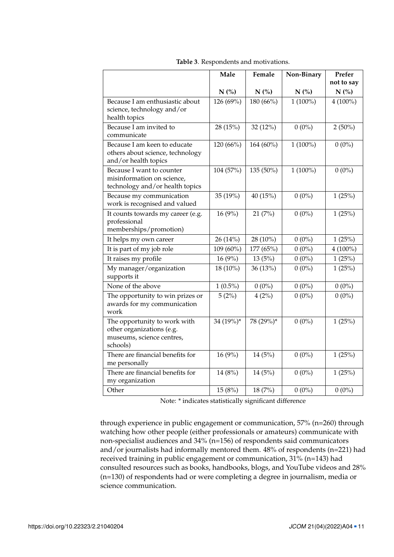|                                                                                                    | Male       | Female    | Non-Binary | Prefer<br>not to say |
|----------------------------------------------------------------------------------------------------|------------|-----------|------------|----------------------|
|                                                                                                    | $N$ (%)    | $N$ (%)   | N(%)       | N(%)                 |
| Because I am enthusiastic about<br>science, technology and/or<br>health topics                     | 126 (69%)  | 180 (66%) | $1(100\%)$ | $4(100\%)$           |
| Because I am invited to<br>communicate                                                             | 28 (15%)   | 32 (12%)  | $0(0\%)$   | $2(50\%)$            |
| Because I am keen to educate<br>others about science, technology<br>and/or health topics           | 120 (66%)  | 164 (60%) | $1(100\%)$ | $0(0\%)$             |
| Because I want to counter<br>misinformation on science,<br>technology and/or health topics         | 104 (57%)  | 135 (50%) | $1(100\%)$ | $0(0\%)$             |
| Because my communication<br>work is recognised and valued                                          | 35 (19%)   | 40 (15%)  | $0(0\%)$   | 1(25%)               |
| It counts towards my career (e.g.<br>professional<br>memberships/promotion)                        | 16(9%)     | 21(7%)    | $0(0\%)$   | 1(25%)               |
| It helps my own career                                                                             | 26 (14%)   | 28 (10%)  | $0(0\%)$   | 1(25%)               |
| It is part of my job role                                                                          | 109 (60%)  | 177 (65%) | $0(0\%)$   | $4(100\%)$           |
| It raises my profile                                                                               | 16 (9%)    | 13(5%)    | $0(0\%)$   | 1(25%)               |
| My manager/organization<br>supports it                                                             | 18 (10%)   | 36 (13%)  | $0(0\%)$   | 1(25%)               |
| None of the above                                                                                  | $1(0.5\%)$ | $0(0\%)$  | $0(0\%)$   | $0(0\%)$             |
| The opportunity to win prizes or<br>awards for my communication<br>work                            | 5(2%)      | 4(2%)     | $0(0\%)$   | $0(0\%)$             |
| The opportunity to work with<br>other organizations (e.g.<br>museums, science centres,<br>schools) | 34 (19%)*  | 78 (29%)* | $0(0\%)$   | 1(25%)               |
| There are financial benefits for<br>me personally                                                  | 16(9%)     | 14(5%)    | $0(0\%)$   | 1(25%)               |
| There are financial benefits for<br>my organization                                                | 14(8%)     | 14(5%)    | $0(0\%)$   | 1(25%)               |
| Other                                                                                              | 15(8%)     | 18 (7%)   | $0(0\%)$   | $0(0\%)$             |

<span id="page-10-0"></span>**Table 3**. Respondents and motivations.

Note: \* indicates statistically significant difference

through experience in public engagement or communication, 57% (n=260) through watching how other people (either professionals or amateurs) communicate with non-specialist audiences and 34% (n=156) of respondents said communicators and/or journalists had informally mentored them. 48% of respondents (n=221) had received training in public engagement or communication, 31% (n=143) had consulted resources such as books, handbooks, blogs, and YouTube videos and 28% (n=130) of respondents had or were completing a degree in journalism, media or science communication.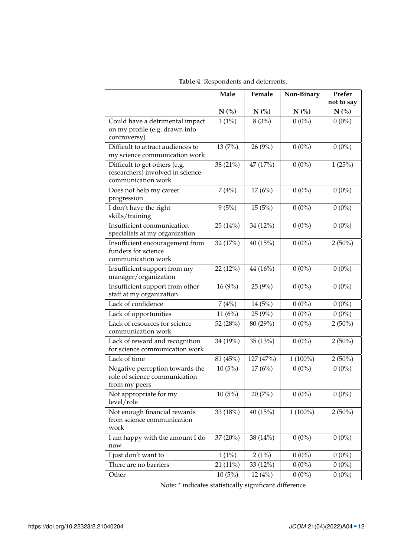|                                                                                         | Male      | Female     | Non-Binary | Prefer     |
|-----------------------------------------------------------------------------------------|-----------|------------|------------|------------|
|                                                                                         |           |            |            | not to say |
|                                                                                         | $N$ (%)   | N(%)       | $N$ (%)    | $N$ (%)    |
| Could have a detrimental impact<br>on my profile (e.g. drawn into<br>controversy)       | $1(1\%)$  | 8(3%)      | $0(0\%)$   | $0(0\%)$   |
| Difficult to attract audiences to<br>my science communication work                      | 13 (7%)   | 26(9%)     | $0(0\%)$   | $0(0\%)$   |
| Difficult to get others (e.g.<br>researchers) involved in science<br>communication work | 38 (21%)  | 47 (17%)   | $0(0\%)$   | 1(25%)     |
| Does not help my career<br>progression                                                  | 7(4%)     | 17(6%)     | $0(0\%)$   | $0(0\%)$   |
| I don't have the right<br>skills/training                                               | 9(5%)     | 15(5%)     | $0(0\%)$   | $0(0\%)$   |
| Insufficient communication<br>specialists at my organization                            | 25(14%)   | 34 (12%)   | $0(0\%)$   | $0(0\%)$   |
| Insufficient encouragement from<br>funders for science<br>communication work            | 32 (17%)  | 40 $(15%)$ | $0(0\%)$   | $2(50\%)$  |
| Insufficient support from my<br>manager/organization                                    | 22 (12%)  | 44 (16%)   | $0(0\%)$   | $0(0\%)$   |
| Insufficient support from other<br>staff at my organization                             | 16(9%)    | 25(9%)     | $0(0\%)$   | $0(0\%)$   |
| Lack of confidence                                                                      | 7(4%)     | 14(5%)     | $0(0\%)$   | $0(0\%)$   |
| Lack of opportunities                                                                   | 11 $(6%)$ | 25(9%)     | $0(0\%)$   | $0(0\%)$   |
| Lack of resources for science<br>communication work                                     | 52 (28%)  | 80 (29%)   | $0(0\%)$   | $2(50\%)$  |
| Lack of reward and recognition<br>for science communication work                        | 34 (19%)  | 35(13%)    | $0(0\%)$   | $2(50\%)$  |
| Lack of time                                                                            | 81 (45%)  | 127 (47%)  | $1(100\%)$ | $2(50\%)$  |
| Negative perception towards the<br>role of science communication<br>from my peers       | 10(5%)    | 17(6%)     | $0(0\%)$   | $0(0\%)$   |
| Not appropriate for my<br>level/role                                                    | 10(5%)    | 20(7%)     | $0(0\%)$   | $0(0\%)$   |
| Not enough financial rewards<br>from science communication<br>work                      | 33 (18%)  | 40 $(15%)$ | $1(100\%)$ | $2(50\%)$  |
| I am happy with the amount I do<br>now                                                  | 37 (20%)  | 38 (14%)   | $0(0\%)$   | $0(0\%)$   |
| I just don't want to                                                                    | $1(1\%)$  | 2(1%)      | $0(0\%)$   | $0(0\%)$   |
| There are no barriers                                                                   | 21 (11%)  | 33(12%)    | $0(0\%)$   | $0(0\%)$   |
| Other                                                                                   | 10(5%)    | 12(4%)     | $0(0\%)$   | $0(0\%)$   |

<span id="page-11-0"></span>**Table 4**. Respondents and deterrents.

Note: \* indicates statistically significant difference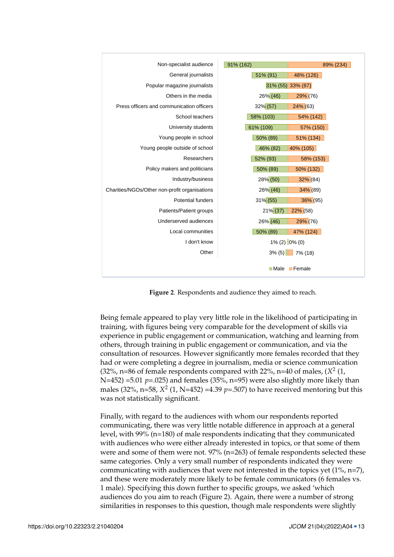

<span id="page-12-0"></span>Figure 2. Respondents and audience they aimed to reach.

Being female appeared to play very little role in the likelihood of participating in training, with figures being very comparable for the development of skills via experience in public engagement or communication, watching and learning from others, through training in public engagement or communication, and via the consultation of resources. However significantly more females recorded that they had or were completing a degree in journalism, media or science communication<br>(2004). Only a late of all ages, and the science of all ages, and the science of all ages, and the science of 479 particularly aged under 45 (there were fewer female communicators aged 55 and older (32%, n=86 of female respondents compared with 22%, n=40 of males, (*X* 2 (1,  $48-432$  but this may denote the wide range of professional more intervals. males  $(32\%, n=58, X^2(1, N=452) =4.39 p=.507)$  to have received mentoring but this was not statistically significant. N=452) =5.01 *p*=.025) and females (35%, n=95) were also slightly more likely than

Finally, with regard to the audiences with whom our respondents reported level, with 99% (n=180) of male respondents indicating that they communicated with audiences who were either already interested in topics, or that some of them were and some of them were not. 97%  $(n=263)$  of female respondents selected these same categories. Only a very small number of respondents indicated they were communicating, there was very little notable difference in approach at a general communicating with audiences that were not interested in the topics yet (1%, n=7), and these were moderately more likely to be female communicators (6 females vs. 1 male). Specifying this down further to specific groups, we asked 'which audiences do you aim to reach (Figure [2\)](#page-12-0). Again, there were a number of strong similarities in responses to this question, though male respondents were slightly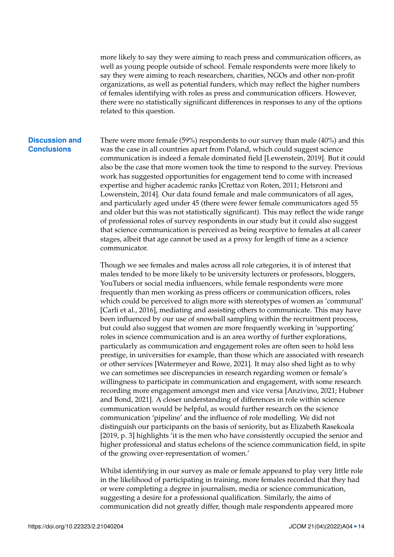more likely to say they were aiming to reach press and communication officers, as well as young people outside of school. Female respondents were more likely to say they were aiming to reach researchers, charities, NGOs and other non-profit organizations, as well as potential funders, which may reflect the higher numbers of females identifying with roles as press and communication officers. However, there were no statistically significant differences in responses to any of the options related to this question.

### **Discussion and Conclusions**

There were more female (59%) respondents to our survey than male (40%) and this was the case in all countries apart from Poland, which could suggest science communication is indeed a female dominated field [Lewenstein, [2019\]](#page-17-0). But it could also be the case that more women took the time to respond to the survey. Previous work has suggested opportunities for engagement tend to come with increased expertise and higher academic ranks [Crettaz von Roten, [2011;](#page-16-9) Hetsroni and Lowenstein, [2014\]](#page-17-9). Our data found female and male communicators of all ages, and particularly aged under 45 (there were fewer female communicators aged 55 and older but this was not statistically significant). This may reflect the wide range of professional roles of survey respondents in our study but it could also suggest that science communication is perceived as being receptive to females at all career stages, albeit that age cannot be used as a proxy for length of time as a science communicator.

Though we see females and males across all role categories, it is of interest that males tended to be more likely to be university lecturers or professors, bloggers, YouTubers or social media influencers, while female respondents were more frequently than men working as press officers or communication officers, roles which could be perceived to align more with stereotypes of women as 'communal' [Carli et al., [2016\]](#page-16-10), mediating and assisting others to communicate. This may have been influenced by our use of snowball sampling within the recruitment process, but could also suggest that women are more frequently working in 'supporting' roles in science communication and is an area worthy of further explorations, particularly as communication and engagement roles are often seen to hold less prestige, in universities for example, than those which are associated with research or other services [Watermeyer and Rowe, [2021\]](#page-19-9). It may also shed light as to why we can sometimes see discrepancies in research regarding women or female's willingness to participate in communication and engagement, with some research recording more engagement amongst men and vice versa [Anzivino, [2021;](#page-15-2) Hubner and Bond, [2021\]](#page-17-7). A closer understanding of differences in role within science communication would be helpful, as would further research on the science communication 'pipeline' and the influence of role modelling. We did not distinguish our participants on the basis of seniority, but as Elizabeth Rasekoala [\[2019,](#page-18-2) p. 3] highlights 'it is the men who have consistently occupied the senior and higher professional and status echelons of the science communication field, in spite of the growing over-representation of women.'

Whilst identifying in our survey as male or female appeared to play very little role in the likelihood of participating in training, more females recorded that they had or were completing a degree in journalism, media or science communication, suggesting a desire for a professional qualification. Similarly, the aims of communication did not greatly differ, though male respondents appeared more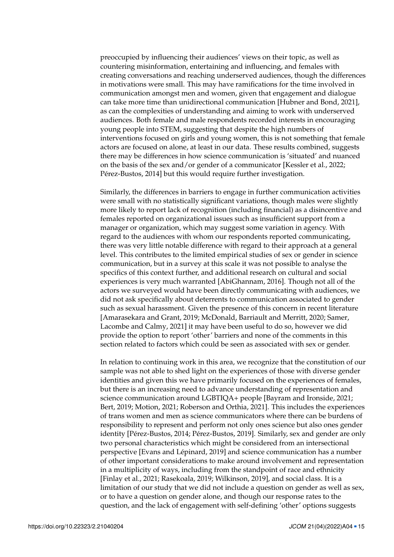preoccupied by influencing their audiences' views on their topic, as well as countering misinformation, entertaining and influencing, and females with creating conversations and reaching underserved audiences, though the differences in motivations were small. This may have ramifications for the time involved in communication amongst men and women, given that engagement and dialogue can take more time than unidirectional communication [Hubner and Bond, [2021\]](#page-17-7), as can the complexities of understanding and aiming to work with underserved audiences. Both female and male respondents recorded interests in encouraging young people into STEM, suggesting that despite the high numbers of interventions focused on girls and young women, this is not something that female actors are focused on alone, at least in our data. These results combined, suggests there may be differences in how science communication is 'situated' and nuanced on the basis of the sex and/or gender of a communicator [Kessler et al., [2022;](#page-17-12) Pérez-Bustos, [2014\]](#page-18-0) but this would require further investigation.

Similarly, the differences in barriers to engage in further communication activities were small with no statistically significant variations, though males were slightly more likely to report lack of recognition (including financial) as a disincentive and females reported on organizational issues such as insufficient support from a manager or organization, which may suggest some variation in agency. With regard to the audiences with whom our respondents reported communicating, there was very little notable difference with regard to their approach at a general level. This contributes to the limited empirical studies of sex or gender in science communication, but in a survey at this scale it was not possible to analyse the specifics of this context further, and additional research on cultural and social experiences is very much warranted [AbiGhannam, [2016\]](#page-15-4). Though not all of the actors we surveyed would have been directly communicating with audiences, we did not ask specifically about deterrents to communication associated to gender such as sexual harassment. Given the presence of this concern in recent literature [Amarasekara and Grant, [2019;](#page-15-3) McDonald, Barriault and Merritt, [2020;](#page-18-7) Samer, Lacombe and Calmy, [2021\]](#page-18-6) it may have been useful to do so, however we did provide the option to report 'other' barriers and none of the comments in this section related to factors which could be seen as associated with sex or gender.

In relation to continuing work in this area, we recognize that the constitution of our sample was not able to shed light on the experiences of those with diverse gender identities and given this we have primarily focused on the experiences of females, but there is an increasing need to advance understanding of representation and science communication around LGBTIQA+ people [Bayram and Ironside, [2021;](#page-16-3) Bert, [2019;](#page-16-13) Motion, [2021;](#page-18-13) Roberson and Orthia, [2021\]](#page-18-14). This includes the experiences of trans women and men as science communicators where there can be burdens of responsibility to represent and perform not only ones science but also ones gender identity [Pérez-Bustos, [2014;](#page-18-0) Pérez-Bustos, [2019\]](#page-18-1). Similarly, sex and gender are only two personal characteristics which might be considered from an intersectional perspective [Evans and Lépinard, [2019\]](#page-16-14) and science communication has a number of other important considerations to make around involvement and representation in a multiplicity of ways, including from the standpoint of race and ethnicity [Finlay et al., [2021;](#page-16-12) Rasekoala, [2019;](#page-18-2) Wilkinson, [2019\]](#page-19-4), and social class. It is a limitation of our study that we did not include a question on gender as well as sex, or to have a question on gender alone, and though our response rates to the question, and the lack of engagement with self-defining 'other' options suggests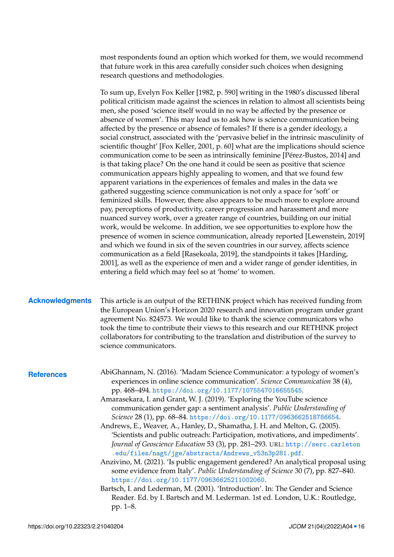most respondents found an option which worked for them, we would recommend that future work in this area carefully consider such choices when designing research questions and methodologies.

To sum up, Evelyn Fox Keller [\[1982,](#page-17-2) p. 590] writing in the 1980's discussed liberal political criticism made against the sciences in relation to almost all scientists being men, she posed 'science itself would in no way be affected by the presence or absence of women'. This may lead us to ask how is science communication being affected by the presence or absence of females? If there is a gender ideology, a social construct, associated with the 'pervasive belief in the intrinsic masculinity of scientific thought' [Fox Keller, [2001,](#page-17-3) p. 60] what are the implications should science communication come to be seen as intrinsically feminine [Pérez-Bustos, [2014\]](#page-18-0) and is that taking place? On the one hand it could be seen as positive that science communication appears highly appealing to women, and that we found few apparent variations in the experiences of females and males in the data we gathered suggesting science communication is not only a space for 'soft' or feminized skills. However, there also appears to be much more to explore around pay, perceptions of productivity, career progression and harassment and more nuanced survey work, over a greater range of countries, building on our initial work, would be welcome. In addition, we see opportunities to explore how the presence of women in science communication, already reported [Lewenstein, [2019\]](#page-17-0) and which we found in six of the seven countries in our survey, affects science communication as a field [Rasekoala, [2019\]](#page-18-2), the standpoints it takes [Harding, [2001\]](#page-17-4), as well as the experience of men and a wider range of gender identities, in entering a field which may feel so at 'home' to women.

## **Acknowledgments** This article is an output of the RETHINK project which has received funding from the European Union's Horizon 2020 research and innovation program under grant agreement No. 824573. We would like to thank the science communicators who took the time to contribute their views to this research and our RETHINK project collaborators for contributing to the translation and distribution of the survey to science communicators.

- <span id="page-15-4"></span><span id="page-15-3"></span>**References** AbiGhannam, N. (2016). 'Madam Science Communicator: a typology of women's experiences in online science communication'. *Science Communication* 38 (4), pp. 468–494. <https://doi.org/10.1177/1075547016655545>.
	- Amarasekara, I. and Grant, W. J. (2019). 'Exploring the YouTube science communication gender gap: a sentiment analysis'. *Public Understanding of Science* 28 (1), pp. 68–84. <https://doi.org/10.1177/0963662518786654>.
	- Andrews, E., Weaver, A., Hanley, D., Shamatha, J. H. and Melton, G. (2005). 'Scientists and public outreach: Participation, motivations, and impediments'. *Journal of Geoscience Education* 53 (3), pp. 281–293. URL: [http://serc.carleton](http://serc.carleton.edu/files/nagt/jge/abstracts/Andrews_v53n3p281.pdf) [.edu/files/nagt/jge/abstracts/Andrews\\_v53n3p281.pdf](http://serc.carleton.edu/files/nagt/jge/abstracts/Andrews_v53n3p281.pdf).
	- Anzivino, M. (2021). 'Is public engagement gendered? An analytical proposal using some evidence from Italy'. *Public Understanding of Science* 30 (7), pp. 827–840. <https://doi.org/10.1177/09636625211002060>.

<span id="page-15-2"></span><span id="page-15-1"></span><span id="page-15-0"></span>Bartsch, I. and Lederman, M. (2001). 'Introduction'. In: The Gender and Science Reader. Ed. by I. Bartsch and M. Lederman. 1st ed. London, U.K.: Routledge, pp. 1–8.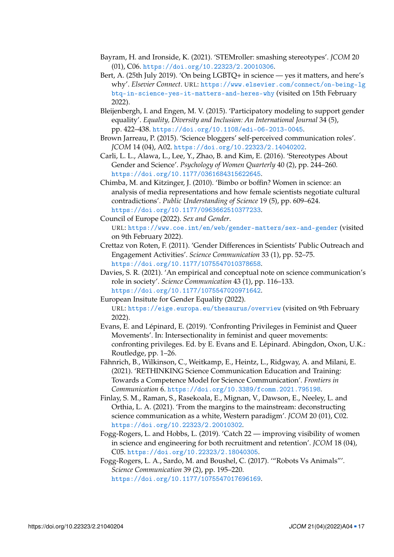- <span id="page-16-3"></span>Bayram, H. and Ironside, K. (2021). 'STEMroller: smashing stereotypes'. *JCOM* 20 (01), C06. <https://doi.org/10.22323/2.20010306>.
- <span id="page-16-13"></span>Bert, A. (25th July 2019). 'On being LGBTQ+ in science — yes it matters, and here's why'. *Elsevier Connect*. URL: [https://www.elsevier.com/connect/on-being-lg](https://www.elsevier.com/connect/on-being-lgbtq-in-science-yes-it-matters-and-heres-why) [btq-in-science-yes-it-matters-and-heres-why](https://www.elsevier.com/connect/on-being-lgbtq-in-science-yes-it-matters-and-heres-why) (visited on 15th February 2022).
- <span id="page-16-6"></span>Bleijenbergh, I. and Engen, M. V. (2015). 'Participatory modeling to support gender equality'. *Equality, Diversity and Inclusion: An International Journal* 34 (5), pp. 422–438. <https://doi.org/10.1108/edi-06-2013-0045>.
- <span id="page-16-8"></span>Brown Jarreau, P. (2015). 'Science bloggers' self-perceived communication roles'. *JCOM* 14 (04), A02. <https://doi.org/10.22323/2.14040202>.
- <span id="page-16-10"></span>Carli, L. L., Alawa, L., Lee, Y., Zhao, B. and Kim, E. (2016). 'Stereotypes About Gender and Science'. *Psychology of Women Quarterly* 40 (2), pp. 244–260. <https://doi.org/10.1177/0361684315622645>.
- <span id="page-16-7"></span>Chimba, M. and Kitzinger, J. (2010). 'Bimbo or boffin? Women in science: an analysis of media representations and how female scientists negotiate cultural contradictions'. *Public Understanding of Science* 19 (5), pp. 609–624. <https://doi.org/10.1177/0963662510377233>.
- <span id="page-16-1"></span>Council of Europe (2022). *Sex and Gender*. URL: <https://www.coe.int/en/web/gender-matters/sex-and-gender> (visited on 9th February 2022).
- <span id="page-16-9"></span>Crettaz von Roten, F. (2011). 'Gender Differences in Scientists' Public Outreach and Engagement Activities'. *Science Communication* 33 (1), pp. 52–75. <https://doi.org/10.1177/1075547010378658>.
- <span id="page-16-0"></span>Davies, S. R. (2021). 'An empirical and conceptual note on science communication's role in society'. *Science Communication* 43 (1), pp. 116–133. <https://doi.org/10.1177/1075547020971642>.
- <span id="page-16-2"></span>European Insitute for Gender Equality (2022).

URL: <https://eige.europa.eu/thesaurus/overview> (visited on 9th February 2022).

- <span id="page-16-14"></span>Evans, E. and Lépinard, E. (2019). 'Confronting Privileges in Feminist and Queer Movements'. In: Intersectionality in feminist and queer movements: confronting privileges. Ed. by E. Evans and E. Lépinard. Abingdon, Oxon, U.K.: Routledge, pp. 1–26.
- <span id="page-16-11"></span>Fähnrich, B., Wilkinson, C., Weitkamp, E., Heintz, L., Ridgway, A. and Milani, E. (2021). 'RETHINKING Science Communication Education and Training: Towards a Competence Model for Science Communication'. *Frontiers in Communication* 6. <https://doi.org/10.3389/fcomm.2021.795198>.
- <span id="page-16-12"></span>Finlay, S. M., Raman, S., Rasekoala, E., Mignan, V., Dawson, E., Neeley, L. and Orthia, L. A. (2021). 'From the margins to the mainstream: deconstructing science communication as a white, Western paradigm'. *JCOM* 20 (01), C02. <https://doi.org/10.22323/2.20010302>.
- <span id="page-16-4"></span>Fogg-Rogers, L. and Hobbs, L. (2019). 'Catch 22 — improving visibility of women in science and engineering for both recruitment and retention'. *JCOM* 18 (04), C05. <https://doi.org/10.22323/2.18040305>.
- <span id="page-16-5"></span>Fogg-Rogers, L. A., Sardo, M. and Boushel, C. (2017). '"Robots Vs Animals"'. *Science Communication* 39 (2), pp. 195–220. <https://doi.org/10.1177/1075547017696169>.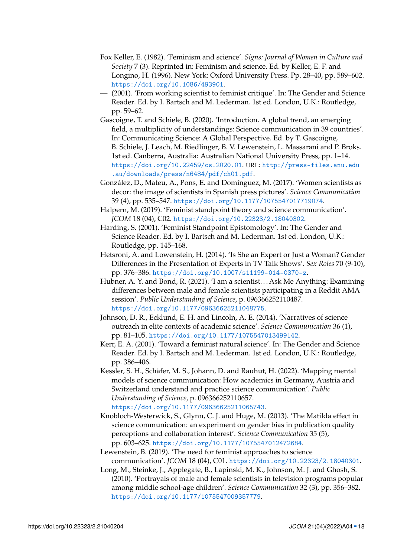- <span id="page-17-2"></span>Fox Keller, E. (1982). 'Feminism and science'. *Signs: Journal of Women in Culture and Society* 7 (3). Reprinted in: Feminism and science. Ed. by Keller, E. F. and Longino, H. (1996). New York: Oxford University Press. Pp. 28–40, pp. 589–602. <https://doi.org/10.1086/493901>.
- <span id="page-17-3"></span>— (2001). 'From working scientist to feminist critique'. In: The Gender and Science Reader. Ed. by I. Bartsch and M. Lederman. 1st ed. London, U.K.: Routledge, pp. 59–62.
- <span id="page-17-13"></span>Gascoigne, T. and Schiele, B. (2020). 'Introduction. A global trend, an emerging field, a multiplicity of understandings: Science communication in 39 countries'. In: Communicating Science: A Global Perspective. Ed. by T. Gascoigne, B. Schiele, J. Leach, M. Riedlinger, B. V. Lewenstein, L. Massarani and P. Broks. 1st ed. Canberra, Australia: Australian National University Press, pp. 1–14. <https://doi.org/10.22459/cs.2020.01>. URL: [http://press-files.anu.edu](http://press-files.anu.edu.au/downloads/press/n6484/pdf/ch01.pdf) [.au/downloads/press/n6484/pdf/ch01.pdf](http://press-files.anu.edu.au/downloads/press/n6484/pdf/ch01.pdf).
- <span id="page-17-8"></span>González, D., Mateu, A., Pons, E. and Domínguez, M. (2017). 'Women scientists as decor: the image of scientists in Spanish press pictures'. *Science Communication* 39 (4), pp. 535–547. <https://doi.org/10.1177/1075547017719074>.
- <span id="page-17-5"></span>Halpern, M. (2019). 'Feminist standpoint theory and science communication'. *JCOM* 18 (04), C02. <https://doi.org/10.22323/2.18040302>.
- <span id="page-17-4"></span>Harding, S. (2001). 'Feminist Standpoint Epistomology'. In: The Gender and Science Reader. Ed. by I. Bartsch and M. Lederman. 1st ed. London, U.K.: Routledge, pp. 145–168.
- <span id="page-17-9"></span>Hetsroni, A. and Lowenstein, H. (2014). 'Is She an Expert or Just a Woman? Gender Differences in the Presentation of Experts in TV Talk Shows'. *Sex Roles* 70 (9-10), pp. 376–386. <https://doi.org/10.1007/s11199-014-0370-z>.
- <span id="page-17-7"></span>Hubner, A. Y. and Bond, R. (2021). 'I am a scientist. . . Ask Me Anything: Examining differences between male and female scientists participating in a Reddit AMA session'. *Public Understanding of Science*, p. 096366252110487. <https://doi.org/10.1177/09636625211048775>.
- <span id="page-17-1"></span>Johnson, D. R., Ecklund, E. H. and Lincoln, A. E. (2014). 'Narratives of science outreach in elite contexts of academic science'. *Science Communication* 36 (1), pp. 81–105. <https://doi.org/10.1177/1075547013499142>.
- <span id="page-17-6"></span>Kerr, E. A. (2001). 'Toward a feminist natural science'. In: The Gender and Science Reader. Ed. by I. Bartsch and M. Lederman. 1st ed. London, U.K.: Routledge, pp. 386–406.
- <span id="page-17-12"></span>Kessler, S. H., Schäfer, M. S., Johann, D. and Rauhut, H. (2022). 'Mapping mental models of science communication: How academics in Germany, Austria and Switzerland understand and practice science communication'. *Public Understanding of Science*, p. 096366252110657. <https://doi.org/10.1177/09636625211065743>.
- <span id="page-17-11"></span>Knobloch-Westerwick, S., Glynn, C. J. and Huge, M. (2013). 'The Matilda effect in science communication: an experiment on gender bias in publication quality perceptions and collaboration interest'. *Science Communication* 35 (5), pp. 603–625. <https://doi.org/10.1177/1075547012472684>.
- <span id="page-17-0"></span>Lewenstein, B. (2019). 'The need for feminist approaches to science communication'. *JCOM* 18 (04), C01. <https://doi.org/10.22323/2.18040301>.
- <span id="page-17-10"></span>Long, M., Steinke, J., Applegate, B., Lapinski, M. K., Johnson, M. J. and Ghosh, S. (2010). 'Portrayals of male and female scientists in television programs popular among middle school-age children'. *Science Communication* 32 (3), pp. 356–382. <https://doi.org/10.1177/1075547009357779>.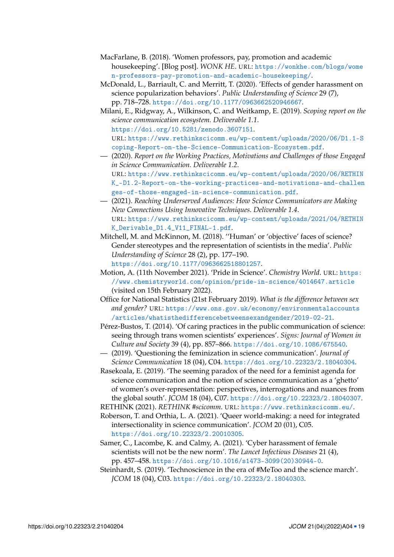- <span id="page-18-4"></span>MacFarlane, B. (2018). 'Women professors, pay, promotion and academic housekeeping'. [Blog post]. *WONK HE*. URL: [https://wonkhe.com/blogs/wome](https://wonkhe.com/blogs/women-professors-pay-promotion-and-academic-housekeeping/) [n-professors-pay-promotion-and-academic-housekeeping/](https://wonkhe.com/blogs/women-professors-pay-promotion-and-academic-housekeeping/).
- <span id="page-18-7"></span>McDonald, L., Barriault, C. and Merritt, T. (2020). 'Effects of gender harassment on science popularization behaviors'. *Public Understanding of Science* 29 (7), pp. 718–728. <https://doi.org/10.1177/0963662520946667>.
- <span id="page-18-10"></span>Milani, E., Ridgway, A., Wilkinson, C. and Weitkamp, E. (2019). *Scoping report on the science communication ecosystem. Deliverable 1.1*. <https://doi.org/10.5281/zenodo.3607151>. URL: [https://www.rethinkscicomm.eu/wp-content/uploads/2020/06/D1.1-S](https://www.rethinkscicomm.eu/wp-content/uploads/2020/06/D1.1-Scoping-Report-on-the-Science-Communication-Ecosystem.pdf) [coping-Report-on-the-Science-Communication-Ecosystem.pdf](https://www.rethinkscicomm.eu/wp-content/uploads/2020/06/D1.1-Scoping-Report-on-the-Science-Communication-Ecosystem.pdf).
- <span id="page-18-9"></span>— (2020). *Report on the Working Practices, Motivations and Challenges of those Engaged in Science Communication. Deliverable 1.2*. URL: [https://www.rethinkscicomm.eu/wp-content/uploads/2020/06/RETHIN](https://www.rethinkscicomm.eu/wp-content/uploads/2020/06/RETHINK_-D1.2-Report-on-the-working-practices-and-motivations-and-challenges-of-those-engaged-in-science-communication.pdf) [K\\_-D1.2-Report-on-the-working-practices-and-motivations-and-challen](https://www.rethinkscicomm.eu/wp-content/uploads/2020/06/RETHINK_-D1.2-Report-on-the-working-practices-and-motivations-and-challenges-of-those-engaged-in-science-communication.pdf) [ges-of-those-engaged-in-science-communication.pdf](https://www.rethinkscicomm.eu/wp-content/uploads/2020/06/RETHINK_-D1.2-Report-on-the-working-practices-and-motivations-and-challenges-of-those-engaged-in-science-communication.pdf).
- <span id="page-18-11"></span>— (2021). *Reaching Underserved Audiences: How Science Communicators are Making New Connections Using Innovative Techniques. Deliverable 1.4*. URL: [https://www.rethinkscicomm.eu/wp-content/uploads/2021/04/RETHIN](https://www.rethinkscicomm.eu/wp-content/uploads/2021/04/RETHINK_Derivable_D1.4_V11_FINAL-1.pdf) [K\\_Derivable\\_D1.4\\_V11\\_FINAL-1.pdf](https://www.rethinkscicomm.eu/wp-content/uploads/2021/04/RETHINK_Derivable_D1.4_V11_FINAL-1.pdf).
- <span id="page-18-5"></span>Mitchell, M. and McKinnon, M. (2018). ''Human' or 'objective' faces of science? Gender stereotypes and the representation of scientists in the media'. *Public Understanding of Science* 28 (2), pp. 177–190. <https://doi.org/10.1177/0963662518801257>.
- <span id="page-18-13"></span>Motion, A. (11th November 2021). 'Pride in Science'. *Chemistry World*. URL: [https:](https://www.chemistryworld.com/opinion/pride-in-science/4014647.article) [//www.chemistryworld.com/opinion/pride-in-science/4014647.article](https://www.chemistryworld.com/opinion/pride-in-science/4014647.article) (visited on 15th February 2022).
- <span id="page-18-12"></span>Office for National Statistics (21st February 2019). *What is the difference between sex and gender?* URL: [https://www.ons.gov.uk/economy/environmentalaccounts](https://www.ons.gov.uk/economy/environmentalaccounts/articles/whatisthedifferencebetweensexandgender/2019-02-21) [/articles/whatisthedifferencebetweensexandgender/2019-02-21](https://www.ons.gov.uk/economy/environmentalaccounts/articles/whatisthedifferencebetweensexandgender/2019-02-21).
- <span id="page-18-0"></span>Pérez-Bustos, T. (2014). 'Of caring practices in the public communication of science: seeing through trans women scientists' experiences'. *Signs: Journal of Women in Culture and Society* 39 (4), pp. 857–866. <https://doi.org/10.1086/675540>.
- <span id="page-18-1"></span>— (2019). 'Questioning the feminization in science communication'. *Journal of Science Communication* 18 (04), C04. <https://doi.org/10.22323/2.18040304>.
- <span id="page-18-2"></span>Rasekoala, E. (2019). 'The seeming paradox of the need for a feminist agenda for science communication and the notion of science communication as a 'ghetto' of women's over-representation: perspectives, interrogations and nuances from the global south'. *JCOM* 18 (04), C07. <https://doi.org/10.22323/2.18040307>.
- <span id="page-18-8"></span>RETHINK (2021). *RETHINK #scicomm*. URL: <https://www.rethinkscicomm.eu/>.
- <span id="page-18-14"></span>Roberson, T. and Orthia, L. A. (2021). 'Queer world-making: a need for integrated intersectionality in science communication'. *JCOM* 20 (01), C05. <https://doi.org/10.22323/2.20010305>.
- <span id="page-18-6"></span>Samer, C., Lacombe, K. and Calmy, A. (2021). 'Cyber harassment of female scientists will not be the new norm'. *The Lancet Infectious Diseases* 21 (4), pp. 457–458. [https://doi.org/10.1016/s1473-3099\(20\)30944-0](https://doi.org/10.1016/s1473-3099(20)30944-0).
- <span id="page-18-3"></span>Steinhardt, S. (2019). 'Technoscience in the era of #MeToo and the science march'. *JCOM* 18 (04), C03. <https://doi.org/10.22323/2.18040303>.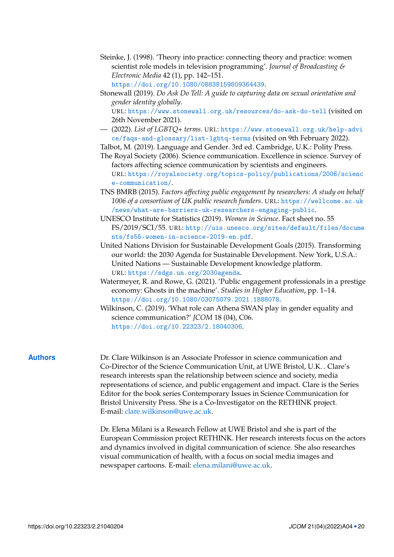<span id="page-19-3"></span>Steinke, J. (1998). 'Theory into practice: connecting theory and practice: women scientist role models in television programming'. *Journal of Broadcasting & Electronic Media* 42 (1), pp. 142–151. <https://doi.org/10.1080/08838159809364439>.

<span id="page-19-7"></span>Stonewall (2019). *Do Ask Do Tell: A guide to capturing data on sexual orientation and gender identity globally*. URL: <https://www.stonewall.org.uk/resources/do-ask-do-tell> (visited on 26th November 2021).

<span id="page-19-2"></span>— (2022). *List of LGBTQ+ terms*. URL: [https://www.stonewall.org.uk/help-advi](https://www.stonewall.org.uk/help-advice/faqs-and-glossary/list-lgbtq-terms) [ce/faqs-and-glossary/list-lgbtq-terms](https://www.stonewall.org.uk/help-advice/faqs-and-glossary/list-lgbtq-terms) (visited on 9th February 2022).

<span id="page-19-1"></span>Talbot, M. (2019). Language and Gender. 3rd ed. Cambridge, U.K.: Polity Press.

- <span id="page-19-5"></span>The Royal Society (2006). Science communication. Excellence in science. Survey of factors affecting science communication by scientists and engineers. URL: [https://royalsociety.org/topics-policy/publications/2006/scienc](https://royalsociety.org/topics-policy/publications/2006/science-communication/) [e-communication/](https://royalsociety.org/topics-policy/publications/2006/science-communication/).
- <span id="page-19-6"></span>TNS BMRB (2015). *Factors affecting public engagement by researchers: A study on behalf 1006 of a consortium of UK public research funders*. URL: [https://wellcome.ac.uk](https://wellcome.ac.uk/news/what-are-barriers-uk-researchers-engaging-public) [/news/what-are-barriers-uk-researchers-engaging-public](https://wellcome.ac.uk/news/what-are-barriers-uk-researchers-engaging-public).
- <span id="page-19-0"></span>UNESCO Institute for Statistics (2019). *Women in Science*. Fact sheet no. 55 FS/2019/SCI/55. URL: [http://uis.unesco.org/sites/default/files/docume](http://uis.unesco.org/sites/default/files/documents/fs55-women-in-science-2019-en.pdf) [nts/fs55-women-in-science-2019-en.pdf](http://uis.unesco.org/sites/default/files/documents/fs55-women-in-science-2019-en.pdf).
- <span id="page-19-8"></span>United Nations Division for Sustainable Development Goals (2015). Transforming our world: the 2030 Agenda for Sustainable Development. New York, U.S.A.: United Nations — Sustainable Development knowledge platform. URL: <https://sdgs.un.org/2030agenda>.
- <span id="page-19-9"></span>Watermeyer, R. and Rowe, G. (2021). 'Public engagement professionals in a prestige economy: Ghosts in the machine'. *Studies in Higher Education*, pp. 1–14. <https://doi.org/10.1080/03075079.2021.1888078>.
- <span id="page-19-4"></span>Wilkinson, C. (2019). 'What role can Athena SWAN play in gender equality and science communication?' *JCOM* 18 (04), C06. <https://doi.org/10.22323/2.18040306>.

**Authors** Dr. Clare Wilkinson is an Associate Professor in science communication and Co-Director of the Science Communication Unit, at UWE Bristol, U.K. . Clare's research interests span the relationship between science and society, media representations of science, and public engagement and impact. Clare is the Series Editor for the book series Contemporary Issues in Science Communication for Bristol University Press. She is a Co-Investigator on the RETHINK project. E-mail: [clare.wilkinson@uwe.ac.uk.](mailto:clare.wilkinson@uwe.ac.uk)

> Dr. Elena Milani is a Research Fellow at UWE Bristol and she is part of the European Commission project RETHINK. Her research interests focus on the actors and dynamics involved in digital communication of science. She also researches visual communication of health, with a focus on social media images and newspaper cartoons. E-mail: [elena.milani@uwe.ac.uk.](mailto:elena.milani@uwe.ac.uk)